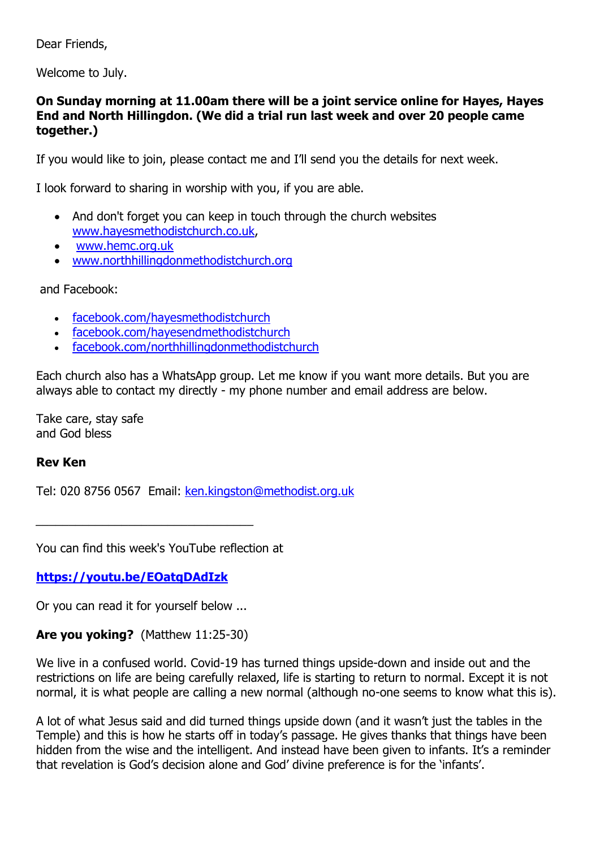Dear Friends,

Welcome to July.

### **On Sunday morning at 11.00am there will be a joint service online for Hayes, Hayes End and North Hillingdon. (We did a trial run last week and over 20 people came together.)**

If you would like to join, please contact me and I'll send you the details for next week.

I look forward to sharing in worship with you, if you are able.

- And don't forget you can keep in touch through the church websites [www.hayesmethodistchurch.co.uk,](http://www.hayesmethodistchurch.co.uk/)
- [www.hemc.org.uk](http://www.hemc.org.uk/)
- [www.northhillingdonmethodistchurch.org](http://www.northhillingdonmethodistchurch.org/)

and Facebook:

- [facebook.com/hayesmethodistchurch](http://www.facebook.com/hayesmethodistchurch)
- [facebook.com/hayesendmethodistchurch](http://www.facebook.com/hayesendmethodistchurch)
- [facebook.com/northhillingdonmethodistchurch](http://www.facebook.com/northhillingdonmethodistchurch)

Each church also has a WhatsApp group. Let me know if you want more details. But you are always able to contact my directly - my phone number and email address are below.

Take care, stay safe and God bless

### **Rev Ken**

Tel: 020 8756 0567 Email: [ken.kingston@methodist.org.uk](mailto:ken.kingston@methodist.org.uk)

You can find this week's YouTube reflection at

**<https://youtu.be/EOatqDAdIzk>**

Or you can read it for yourself below ...

### **Are you yoking?** (Matthew 11:25-30)

We live in a confused world. Covid-19 has turned things upside-down and inside out and the restrictions on life are being carefully relaxed, life is starting to return to normal. Except it is not normal, it is what people are calling a new normal (although no-one seems to know what this is).

A lot of what Jesus said and did turned things upside down (and it wasn't just the tables in the Temple) and this is how he starts off in today's passage. He gives thanks that things have been hidden from the wise and the intelligent. And instead have been given to infants. It's a reminder that revelation is God's decision alone and God' divine preference is for the 'infants'.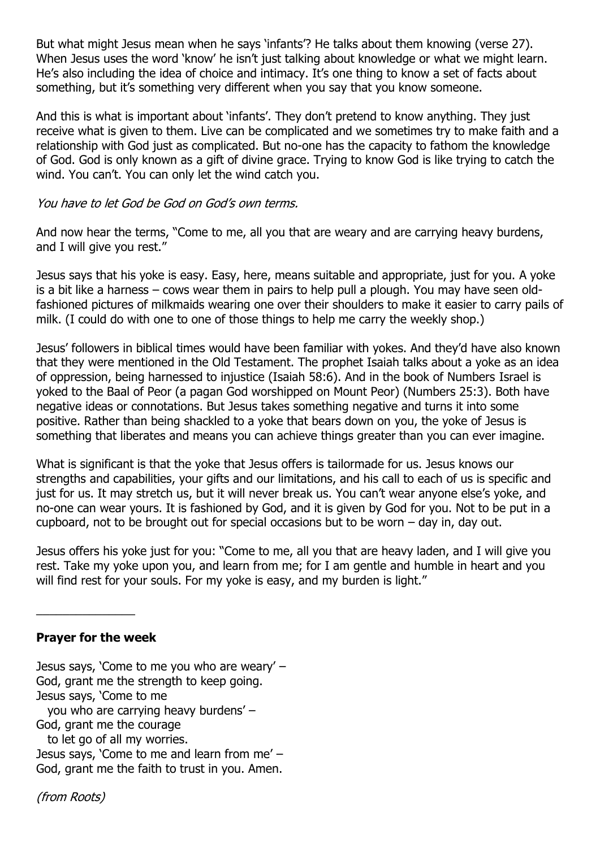But what might Jesus mean when he says 'infants'? He talks about them knowing (verse 27). When Jesus uses the word 'know' he isn't just talking about knowledge or what we might learn. He's also including the idea of choice and intimacy. It's one thing to know a set of facts about something, but it's something very different when you say that you know someone.

And this is what is important about 'infants'. They don't pretend to know anything. They just receive what is given to them. Live can be complicated and we sometimes try to make faith and a relationship with God just as complicated. But no-one has the capacity to fathom the knowledge of God. God is only known as a gift of divine grace. Trying to know God is like trying to catch the wind. You can't. You can only let the wind catch you.

### You have to let God be God on God's own terms.

And now hear the terms, "Come to me, all you that are weary and are carrying heavy burdens, and I will give you rest."

Jesus says that his yoke is easy. Easy, here, means suitable and appropriate, just for you. A yoke is a bit like a harness – cows wear them in pairs to help pull a plough. You may have seen oldfashioned pictures of milkmaids wearing one over their shoulders to make it easier to carry pails of milk. (I could do with one to one of those things to help me carry the weekly shop.)

Jesus' followers in biblical times would have been familiar with yokes. And they'd have also known that they were mentioned in the Old Testament. The prophet Isaiah talks about a yoke as an idea of oppression, being harnessed to injustice (Isaiah 58:6). And in the book of Numbers Israel is yoked to the Baal of Peor (a pagan God worshipped on Mount Peor) (Numbers 25:3). Both have negative ideas or connotations. But Jesus takes something negative and turns it into some positive. Rather than being shackled to a yoke that bears down on you, the yoke of Jesus is something that liberates and means you can achieve things greater than you can ever imagine.

What is significant is that the yoke that Jesus offers is tailormade for us. Jesus knows our strengths and capabilities, your gifts and our limitations, and his call to each of us is specific and just for us. It may stretch us, but it will never break us. You can't wear anyone else's yoke, and no-one can wear yours. It is fashioned by God, and it is given by God for you. Not to be put in a cupboard, not to be brought out for special occasions but to be worn – day in, day out.

Jesus offers his yoke just for you: "Come to me, all you that are heavy laden, and I will give you rest. Take my yoke upon you, and learn from me; for I am gentle and humble in heart and you will find rest for your souls. For my yoke is easy, and my burden is light."

# **Prayer for the week**

 $\overline{\phantom{a}}$ 

Jesus says, 'Come to me you who are weary' – God, grant me the strength to keep going. Jesus says, 'Come to me you who are carrying heavy burdens' – God, grant me the courage to let go of all my worries. Jesus says, 'Come to me and learn from me' – God, grant me the faith to trust in you. Amen.

(from Roots)